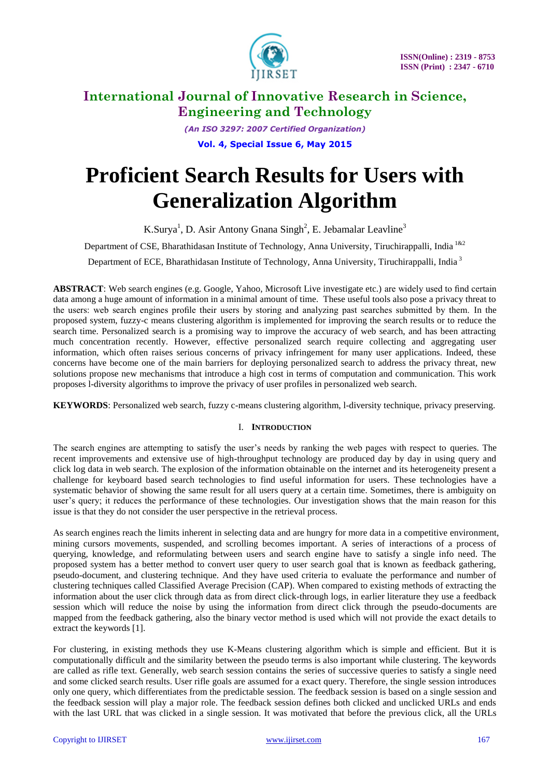

*(An ISO 3297: 2007 Certified Organization)* **Vol. 4, Special Issue 6, May 2015**

# **Proficient Search Results for Users with Generalization Algorithm**

K.Surya<sup>1</sup>, D. Asir Antony Gnana Singh<sup>2</sup>, E. Jebamalar Leavline<sup>3</sup>

Department of CSE, Bharathidasan Institute of Technology, Anna University, Tiruchirappalli, India<sup>1&2</sup>

Department of ECE, Bharathidasan Institute of Technology, Anna University, Tiruchirappalli, India<sup>3</sup>

**ABSTRACT**: Web search engines (e.g. Google, Yahoo, Microsoft Live investigate etc.) are widely used to find certain data among a huge amount of information in a minimal amount of time. These useful tools also pose a privacy threat to the users: web search engines profile their users by storing and analyzing past searches submitted by them. In the proposed system, fuzzy-c means clustering algorithm is implemented for improving the search results or to reduce the search time. Personalized search is a promising way to improve the accuracy of web search, and has been attracting much concentration recently. However, effective personalized search require collecting and aggregating user information, which often raises serious concerns of privacy infringement for many user applications. Indeed, these concerns have become one of the main barriers for deploying personalized search to address the privacy threat, new solutions propose new mechanisms that introduce a high cost in terms of computation and communication. This work proposes l-diversity algorithms to improve the privacy of user profiles in personalized web search.

**KEYWORDS**: Personalized web search, fuzzy c-means clustering algorithm, l-diversity technique, privacy preserving.

## I. **INTRODUCTION**

The search engines are attempting to satisfy the user's needs by ranking the web pages with respect to queries. The recent improvements and extensive use of high-throughput technology are produced day by day in using query and click log data in web search. The explosion of the information obtainable on the internet and its heterogeneity present a challenge for keyboard based search technologies to find useful information for users. These technologies have a systematic behavior of showing the same result for all users query at a certain time. Sometimes, there is ambiguity on user's query; it reduces the performance of these technologies. Our investigation shows that the main reason for this issue is that they do not consider the user perspective in the retrieval process.

As search engines reach the limits inherent in selecting data and are hungry for more data in a competitive environment, mining cursors movements, suspended, and scrolling becomes important. A series of interactions of a process of querying, knowledge, and reformulating between users and search engine have to satisfy a single info need. The proposed system has a better method to convert user query to user search goal that is known as feedback gathering, pseudo-document, and clustering technique. And they have used criteria to evaluate the performance and number of clustering techniques called Classified Average Precision (CAP). When compared to existing methods of extracting the information about the user click through data as from direct click-through logs, in earlier literature they use a feedback session which will reduce the noise by using the information from direct click through the pseudo-documents are mapped from the feedback gathering, also the binary vector method is used which will not provide the exact details to extract the keywords [1].

For clustering, in existing methods they use K-Means clustering algorithm which is simple and efficient. But it is computationally difficult and the similarity between the pseudo terms is also important while clustering. The keywords are called as rifle text. Generally, web search session contains the series of successive queries to satisfy a single need and some clicked search results. User rifle goals are assumed for a exact query. Therefore, the single session introduces only one query, which differentiates from the predictable session. The feedback session is based on a single session and the feedback session will play a major role. The feedback session defines both clicked and unclicked URLs and ends with the last URL that was clicked in a single session. It was motivated that before the previous click, all the URLs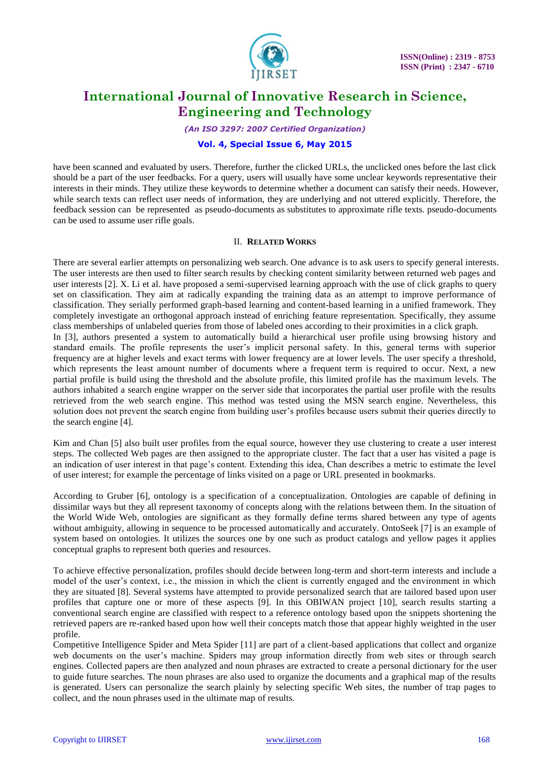

*(An ISO 3297: 2007 Certified Organization)*

## **Vol. 4, Special Issue 6, May 2015**

have been scanned and evaluated by users. Therefore, further the clicked URLs, the unclicked ones before the last click should be a part of the user feedbacks. For a query, users will usually have some unclear keywords representative their interests in their minds. They utilize these keywords to determine whether a document can satisfy their needs. However, while search texts can reflect user needs of information, they are underlying and not uttered explicitly. Therefore, the feedback session can be represented as pseudo-documents as substitutes to approximate rifle texts. pseudo-documents can be used to assume user rifle goals.

## II. **RELATED WORKS**

There are several earlier attempts on personalizing web search. One advance is to ask users to specify general interests. The user interests are then used to filter search results by checking content similarity between returned web pages and user interests [2]. X. Li et al. have proposed a semi-supervised learning approach with the use of click graphs to query set on classification. They aim at radically expanding the training data as an attempt to improve performance of classification. They serially performed graph-based learning and content-based learning in a unified framework. They completely investigate an orthogonal approach instead of enriching feature representation. Specifically, they assume class memberships of unlabeled queries from those of labeled ones according to their proximities in a click graph. In [3], authors presented a system to automatically build a hierarchical user profile using browsing history and standard emails. The profile represents the user's implicit personal safety. In this, general terms with superior frequency are at higher levels and exact terms with lower frequency are at lower levels. The user specify a threshold, which represents the least amount number of documents where a frequent term is required to occur. Next, a new partial profile is build using the threshold and the absolute profile, this limited profile has the maximum levels. The authors inhabited a search engine wrapper on the server side that incorporates the partial user profile with the results retrieved from the web search engine. This method was tested using the MSN search engine. Nevertheless, this solution does not prevent the search engine from building user's profiles because users submit their queries directly to the search engine [4].

Kim and Chan [5] also built user profiles from the equal source, however they use clustering to create a user interest steps. The collected Web pages are then assigned to the appropriate cluster. The fact that a user has visited a page is an indication of user interest in that page's content. Extending this idea, Chan describes a metric to estimate the level of user interest; for example the percentage of links visited on a page or URL presented in bookmarks.

According to Gruber [6], ontology is a specification of a conceptualization. Ontologies are capable of defining in dissimilar ways but they all represent taxonomy of concepts along with the relations between them. In the situation of the World Wide Web, ontologies are significant as they formally define terms shared between any type of agents without ambiguity, allowing in sequence to be processed automatically and accurately. OntoSeek [7] is an example of system based on ontologies. It utilizes the sources one by one such as product catalogs and yellow pages it applies conceptual graphs to represent both queries and resources.

To achieve effective personalization, profiles should decide between long-term and short-term interests and include a model of the user's context, i.e., the mission in which the client is currently engaged and the environment in which they are situated [8]. Several systems have attempted to provide personalized search that are tailored based upon user profiles that capture one or more of these aspects [9]. In this OBIWAN project [10], search results starting a conventional search engine are classified with respect to a reference ontology based upon the snippets shortening the retrieved papers are re-ranked based upon how well their concepts match those that appear highly weighted in the user profile.

Competitive Intelligence Spider and Meta Spider [11] are part of a client-based applications that collect and organize web documents on the user's machine. Spiders may group information directly from web sites or through search engines. Collected papers are then analyzed and noun phrases are extracted to create a personal dictionary for the user to guide future searches. The noun phrases are also used to organize the documents and a graphical map of the results is generated. Users can personalize the search plainly by selecting specific Web sites, the number of trap pages to collect, and the noun phrases used in the ultimate map of results.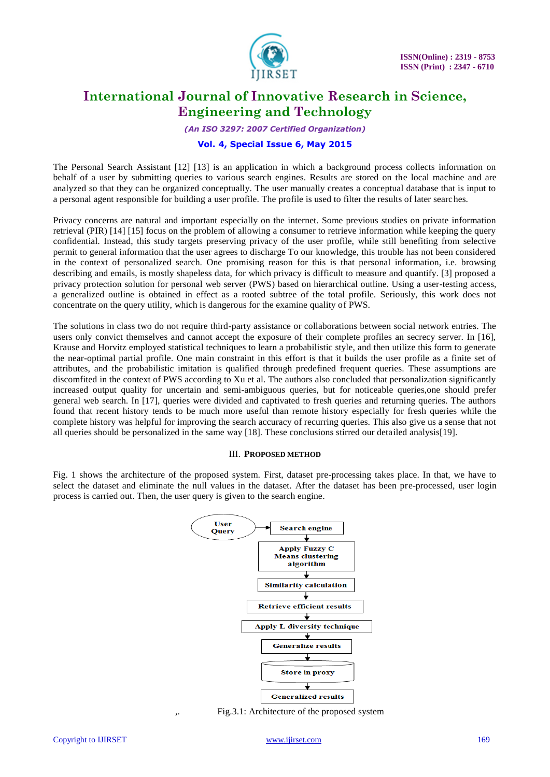

*(An ISO 3297: 2007 Certified Organization)*

## **Vol. 4, Special Issue 6, May 2015**

The Personal Search Assistant [12] [13] is an application in which a background process collects information on behalf of a user by submitting queries to various search engines. Results are stored on the local machine and are analyzed so that they can be organized conceptually. The user manually creates a conceptual database that is input to a personal agent responsible for building a user profile. The profile is used to filter the results of later searches.

Privacy concerns are natural and important especially on the internet. Some previous studies on private information retrieval (PIR) [14] [15] focus on the problem of allowing a consumer to retrieve information while keeping the query confidential. Instead, this study targets preserving privacy of the user profile, while still benefiting from selective permit to general information that the user agrees to discharge To our knowledge, this trouble has not been considered in the context of personalized search. One promising reason for this is that personal information, i.e. browsing describing and emails, is mostly shapeless data, for which privacy is difficult to measure and quantify. [3] proposed a privacy protection solution for personal web server (PWS) based on hierarchical outline. Using a user-testing access, a generalized outline is obtained in effect as a rooted subtree of the total profile. Seriously, this work does not concentrate on the query utility, which is dangerous for the examine quality of PWS.

The solutions in class two do not require third-party assistance or collaborations between social network entries. The users only convict themselves and cannot accept the exposure of their complete profiles an secrecy server. In [16], Krause and Horvitz employed statistical techniques to learn a probabilistic style, and then utilize this form to generate the near-optimal partial profile. One main constraint in this effort is that it builds the user profile as a finite set of attributes, and the probabilistic imitation is qualified through predefined frequent queries. These assumptions are discomfited in the context of PWS according to Xu et al. The authors also concluded that personalization significantly increased output quality for uncertain and semi-ambiguous queries, but for noticeable queries,one should prefer general web search. In [17], queries were divided and captivated to fresh queries and returning queries. The authors found that recent history tends to be much more useful than remote history especially for fresh queries while the complete history was helpful for improving the search accuracy of recurring queries. This also give us a sense that not all queries should be personalized in the same way [18]. These conclusions stirred our detailed analysis[19].

#### III. **PROPOSED METHOD**

Fig. 1 shows the architecture of the proposed system. First, dataset pre-processing takes place. In that, we have to select the dataset and eliminate the null values in the dataset. After the dataset has been pre-processed, user login process is carried out. Then, the user query is given to the search engine.



Fig.3.1: Architecture of the proposed system